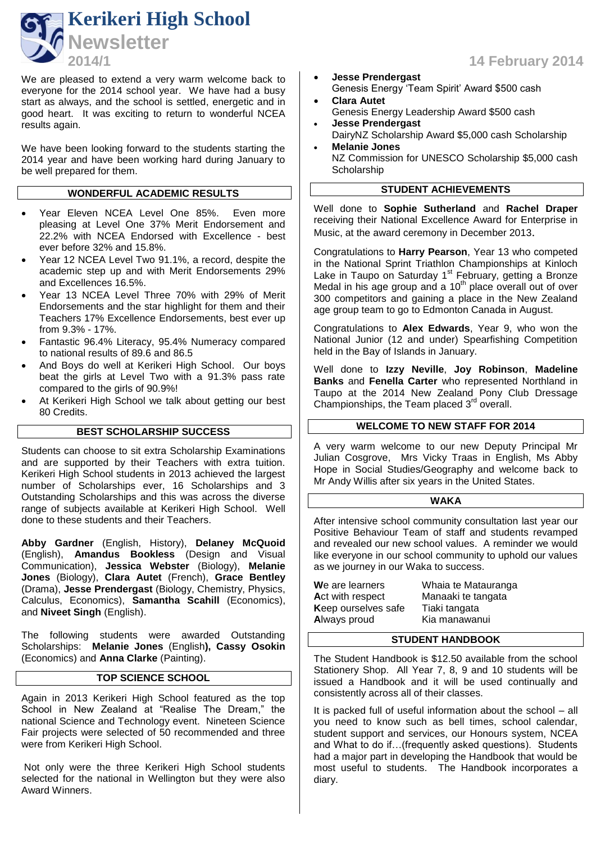

We are pleased to extend a very warm welcome back to everyone for the 2014 school year. We have had a busy start as always, and the school is settled, energetic and in good heart. It was exciting to return to wonderful NCEA results again.

We have been looking forward to the students starting the 2014 year and have been working hard during January to be well prepared for them.

# **WONDERFUL ACADEMIC RESULTS**

- Year Eleven NCEA Level One 85%. Even more pleasing at Level One 37% Merit Endorsement and 22.2% with NCEA Endorsed with Excellence - best ever before 32% and 15.8%.
- Year 12 NCEA Level Two 91.1%, a record, despite the academic step up and with Merit Endorsements 29% and Excellences 16.5%.
- Year 13 NCEA Level Three 70% with 29% of Merit Endorsements and the star highlight for them and their Teachers 17% Excellence Endorsements, best ever up from 9.3% - 17%.
- Fantastic 96.4% Literacy, 95.4% Numeracy compared to national results of 89.6 and 86.5
- And Boys do well at Kerikeri High School. Our boys beat the girls at Level Two with a 91.3% pass rate compared to the girls of 90.9%!
- At Kerikeri High School we talk about getting our best 80 Credits.

# **BEST SCHOLARSHIP SUCCESS**

Students can choose to sit extra Scholarship Examinations and are supported by their Teachers with extra tuition. Kerikeri High School students in 2013 achieved the largest number of Scholarships ever, 16 Scholarships and 3 Outstanding Scholarships and this was across the diverse range of subjects available at Kerikeri High School. Well done to these students and their Teachers.

**Abby Gardner** (English, History), **Delaney McQuoid** (English), **Amandus Bookless** (Design and Visual Communication), **Jessica Webster** (Biology), **Melanie Jones** (Biology), **Clara Autet** (French), **Grace Bentley** (Drama), **Jesse Prendergast** (Biology, Chemistry, Physics, Calculus, Economics), **Samantha Scahill** (Economics), and **Niveet Singh** (English).

The following students were awarded Outstanding Scholarships: **Melanie Jones** (English**), Cassy Osokin** (Economics) and **Anna Clarke** (Painting).

# **TOP SCIENCE SCHOOL**

Again in 2013 Kerikeri High School featured as the top School in New Zealand at "Realise The Dream," the national Science and Technology event. Nineteen Science Fair projects were selected of 50 recommended and three were from Kerikeri High School.

Not only were the three Kerikeri High School students selected for the national in Wellington but they were also Award Winners.

- **Jesse Prendergast** Genesis Energy 'Team Spirit' Award \$500 cash
- **Clara Autet** Genesis Energy Leadership Award \$500 cash
- **Jesse Prendergast** DairyNZ Scholarship Award \$5,000 cash Scholarship
- **Melanie Jones**  NZ Commission for UNESCO Scholarship \$5,000 cash **Scholarship**

# **STUDENT ACHIEVEMENTS**

Well done to **Sophie Sutherland** and **Rachel Draper** receiving their National Excellence Award for Enterprise in Music, at the award ceremony in December 2013.

Congratulations to **Harry Pearson**, Year 13 who competed in the National Sprint Triathlon Championships at Kinloch Lake in Taupo on Saturday 1<sup>st</sup> February, getting a Bronze Medal in his age group and a 10<sup>th</sup> place overall out of over 300 competitors and gaining a place in the New Zealand age group team to go to Edmonton Canada in August.

Congratulations to **Alex Edwards**, Year 9, who won the National Junior (12 and under) Spearfishing Competition held in the Bay of Islands in January.

Well done to **Izzy Neville**, **Joy Robinson**, **Madeline Banks** and **Fenella Carter** who represented Northland in Taupo at the 2014 New Zealand Pony Club Dressage Championships, the Team placed 3<sup>rd</sup> overall.

#### **WELCOME TO NEW STAFF FOR 2014**

A very warm welcome to our new Deputy Principal Mr Julian Cosgrove, Mrs Vicky Traas in English, Ms Abby Hope in Social Studies/Geography and welcome back to Mr Andy Willis after six years in the United States.

#### **WAKA**

After intensive school community consultation last year our Positive Behaviour Team of staff and students revamped and revealed our new school values. A reminder we would like everyone in our school community to uphold our values as we journey in our Waka to success.

| Whaia te Matauranga |
|---------------------|
| Manaaki te tangata  |
| Tiaki tangata       |
| Kia manawanui       |
|                     |

#### **STUDENT HANDBOOK**

The Student Handbook is \$12.50 available from the school Stationery Shop. All Year 7, 8, 9 and 10 students will be issued a Handbook and it will be used continually and consistently across all of their classes.

It is packed full of useful information about the school – all you need to know such as bell times, school calendar, student support and services, our Honours system, NCEA and What to do if…(frequently asked questions). Students had a major part in developing the Handbook that would be most useful to students. The Handbook incorporates a diary.